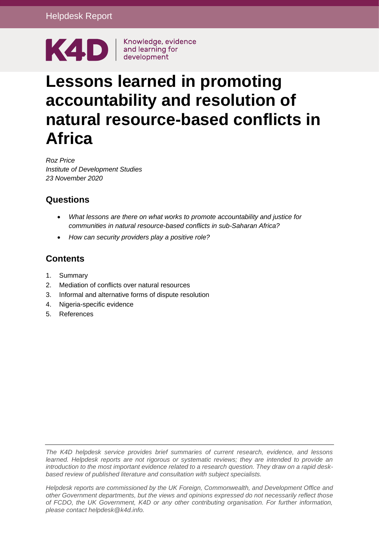

# **Lessons learned in promoting accountability and resolution of natural resource-based conflicts in Africa**

*Roz Price Institute of Development Studies 23 November 2020*

# **Questions**

- *What lessons are there on what works to promote accountability and justice for communities in natural resource-based conflicts in sub-Saharan Africa?*
- *How can security providers play a positive role?*

# **Contents**

- 1. [Summary](#page-1-0)
- 2. [Mediation of conflicts over natural resources](#page-2-0)
- 3. [Informal and alternative forms of dispute resolution](#page-7-0)
- 4. [Nigeria-specific evidence](#page-12-0)
- 5. [References](#page-17-0)

*The K4D helpdesk service provides brief summaries of current research, evidence, and lessons learned. Helpdesk reports are not rigorous or systematic reviews; they are intended to provide an introduction to the most important evidence related to a research question. They draw on a rapid deskbased review of published literature and consultation with subject specialists.* 

*Helpdesk reports are commissioned by the UK Foreign, Commonwealth, and Development Office and other Government departments, but the views and opinions expressed do not necessarily reflect those of FCDO, the UK Government, K4D or any other contributing organisation. For further information, please contact helpdesk@k4d.info.*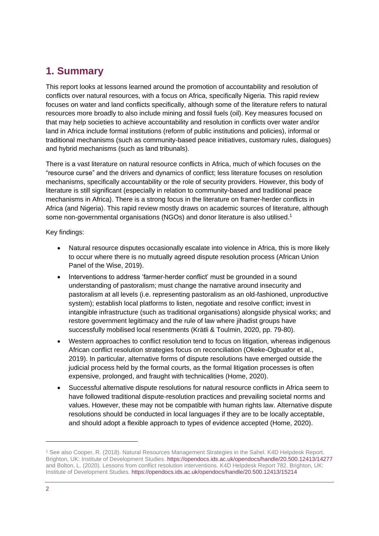# <span id="page-1-0"></span>**1. Summary**

This report looks at lessons learned around the promotion of accountability and resolution of conflicts over natural resources, with a focus on Africa, specifically Nigeria. This rapid review focuses on water and land conflicts specifically, although some of the literature refers to natural resources more broadly to also include mining and fossil fuels (oil). Key measures focused on that may help societies to achieve accountability and resolution in conflicts over water and/or land in Africa include formal institutions (reform of public institutions and policies), informal or traditional mechanisms (such as community-based peace initiatives, customary rules, dialogues) and hybrid mechanisms (such as land tribunals).

There is a vast literature on natural resource conflicts in Africa, much of which focuses on the "resource curse" and the drivers and dynamics of conflict; less literature focuses on resolution mechanisms, specifically accountability or the role of security providers. However, this body of literature is still significant (especially in relation to community-based and traditional peace mechanisms in Africa). There is a strong focus in the literature on framer-herder conflicts in Africa (and Nigeria). This rapid review mostly draws on academic sources of literature, although some non-governmental organisations (NGOs) and donor literature is also utilised.<sup>1</sup>

Key findings:

- Natural resource disputes occasionally escalate into violence in Africa, this is more likely to occur where there is no mutually agreed dispute resolution process (African Union Panel of the Wise, 2019).
- Interventions to address 'farmer-herder conflict' must be grounded in a sound understanding of pastoralism; must change the narrative around insecurity and pastoralism at all levels (i.e. representing pastoralism as an old-fashioned, unproductive system); establish local platforms to listen, negotiate and resolve conflict; invest in intangible infrastructure (such as traditional organisations) alongside physical works; and restore government legitimacy and the rule of law where jihadist groups have successfully mobilised local resentments (Krätli & Toulmin, 2020, pp. 79-80).
- Western approaches to conflict resolution tend to focus on litigation, whereas indigenous African conflict resolution strategies focus on reconciliation (Okeke-Ogbuafor et al., 2019). In particular, alternative forms of dispute resolutions have emerged outside the judicial process held by the formal courts, as the formal litigation processes is often expensive, prolonged, and fraught with technicalities (Home, 2020).
- Successful alternative dispute resolutions for natural resource conflicts in Africa seem to have followed traditional dispute-resolution practices and prevailing societal norms and values. However, these may not be compatible with human rights law. Alternative dispute resolutions should be conducted in local languages if they are to be locally acceptable, and should adopt a flexible approach to types of evidence accepted (Home, 2020).

<sup>1</sup> See also Cooper, R. (2018). Natural Resources Management Strategies in the Sahel. K4D Helpdesk Report. Brighton, UK: Institute of Development Studies[. https://opendocs.ids.ac.uk/opendocs/handle/20.500.12413/14277](https://opendocs.ids.ac.uk/opendocs/handle/20.500.12413/14277) and Bolton, L. (2020). Lessons from conflict resolution interventions. K4D Helpdesk Report 782. Brighton, UK: Institute of Development Studies[. https://opendocs.ids.ac.uk/opendocs/handle/20.500.12413/15214](https://opendocs.ids.ac.uk/opendocs/handle/20.500.12413/15214)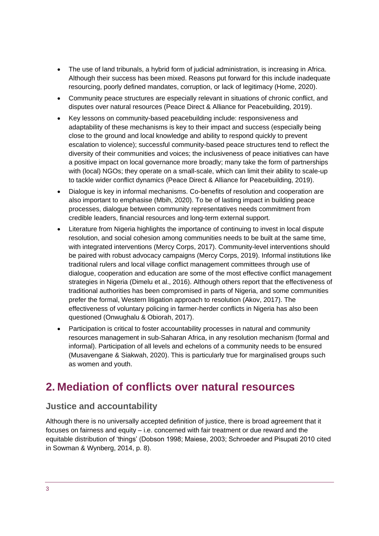- The use of land tribunals, a hybrid form of judicial administration, is increasing in Africa. Although their success has been mixed. Reasons put forward for this include inadequate resourcing, poorly defined mandates, corruption, or lack of legitimacy (Home, 2020).
- Community peace structures are especially relevant in situations of chronic conflict, and disputes over natural resources (Peace Direct & Alliance for Peacebuilding, 2019).
- Key lessons on community-based peacebuilding include: responsiveness and adaptability of these mechanisms is key to their impact and success (especially being close to the ground and local knowledge and ability to respond quickly to prevent escalation to violence); successful community-based peace structures tend to reflect the diversity of their communities and voices; the inclusiveness of peace initiatives can have a positive impact on local governance more broadly; many take the form of partnerships with (local) NGOs; they operate on a small-scale, which can limit their ability to scale-up to tackle wider conflict dynamics (Peace Direct & Alliance for Peacebuilding, 2019).
- Dialogue is key in informal mechanisms. Co-benefits of resolution and cooperation are also important to emphasise (Mbih, 2020). To be of lasting impact in building peace processes, dialogue between community representatives needs commitment from credible leaders, financial resources and long-term external support.
- Literature from Nigeria highlights the importance of continuing to invest in local dispute resolution, and social cohesion among communities needs to be built at the same time, with integrated interventions (Mercy Corps, 2017). Community-level interventions should be paired with robust advocacy campaigns (Mercy Corps, 2019). Informal institutions like traditional rulers and local village conflict management committees through use of dialogue, cooperation and education are some of the most effective conflict management strategies in Nigeria (Dimelu et al., 2016). Although others report that the effectiveness of traditional authorities has been compromised in parts of Nigeria, and some communities prefer the formal, Western litigation approach to resolution (Akov, 2017). The effectiveness of voluntary policing in farmer-herder conflicts in Nigeria has also been questioned (Onwughalu & Obiorah, 2017).
- Participation is critical to foster accountability processes in natural and community resources management in sub-Saharan Africa, in any resolution mechanism (formal and informal). Participation of all levels and echelons of a community needs to be ensured (Musavengane & Siakwah, 2020). This is particularly true for marginalised groups such as women and youth.

# <span id="page-2-0"></span>**2. Mediation of conflicts over natural resources**

### **Justice and accountability**

Although there is no universally accepted definition of justice, there is broad agreement that it focuses on fairness and equity – i.e. concerned with fair treatment or due reward and the equitable distribution of 'things' (Dobson 1998; Maiese, 2003; Schroeder and Pisupati 2010 cited in Sowman & Wynberg, 2014, p. 8).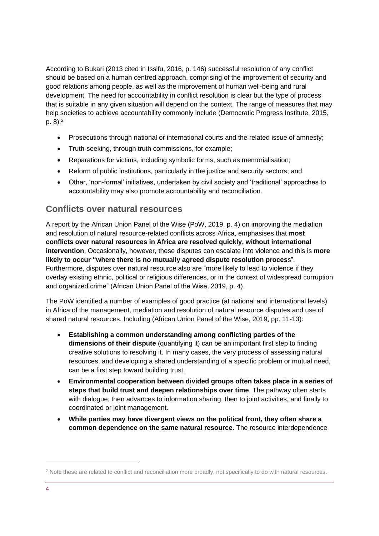According to Bukari (2013 cited in Issifu, 2016, p. 146) successful resolution of any conflict should be based on a human centred approach, comprising of the improvement of security and good relations among people, as well as the improvement of human well-being and rural development. The need for accountability in conflict resolution is clear but the type of process that is suitable in any given situation will depend on the context. The range of measures that may help societies to achieve accountability commonly include (Democratic Progress Institute, 2015, p. 8): 2

- Prosecutions through national or international courts and the related issue of amnesty;
- Truth-seeking, through truth commissions, for example;
- Reparations for victims, including symbolic forms, such as memorialisation;
- Reform of public institutions, particularly in the justice and security sectors; and
- Other, 'non-formal' initiatives, undertaken by civil society and 'traditional' approaches to accountability may also promote accountability and reconciliation.

### **Conflicts over natural resources**

A report by the African Union Panel of the Wise (PoW, 2019, p. 4) on improving the mediation and resolution of natural resource-related conflicts across Africa, emphasises that **most conflicts over natural resources in Africa are resolved quickly, without international intervention**. Occasionally, however, these disputes can escalate into violence and this is **more likely to occur "where there is no mutually agreed dispute resolution proces**s". Furthermore, disputes over natural resource also are "more likely to lead to violence if they overlay existing ethnic, political or religious differences, or in the context of widespread corruption and organized crime" (African Union Panel of the Wise, 2019, p. 4).

The PoW identified a number of examples of good practice (at national and international levels) in Africa of the management, mediation and resolution of natural resource disputes and use of shared natural resources. Including (African Union Panel of the Wise, 2019, pp. 11-13):

- **Establishing a common understanding among conflicting parties of the dimensions of their dispute** (quantifying it) can be an important first step to finding creative solutions to resolving it. In many cases, the very process of assessing natural resources, and developing a shared understanding of a specific problem or mutual need, can be a first step toward building trust.
- **Environmental cooperation between divided groups often takes place in a series of steps that build trust and deepen relationships over time**. The pathway often starts with dialogue, then advances to information sharing, then to joint activities, and finally to coordinated or joint management.
- **While parties may have divergent views on the political front, they often share a common dependence on the same natural resource**. The resource interdependence

<sup>&</sup>lt;sup>2</sup> Note these are related to conflict and reconciliation more broadly, not specifically to do with natural resources.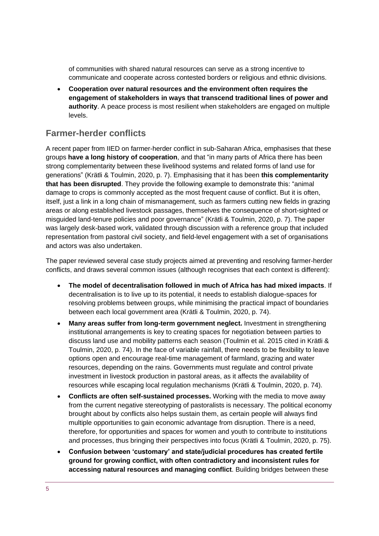of communities with shared natural resources can serve as a strong incentive to communicate and cooperate across contested borders or religious and ethnic divisions.

• **Cooperation over natural resources and the environment often requires the engagement of stakeholders in ways that transcend traditional lines of power and authority**. A peace process is most resilient when stakeholders are engaged on multiple levels.

### **Farmer-herder conflicts**

A recent paper from IIED on farmer-herder conflict in sub-Saharan Africa, emphasises that these groups **have a long history of cooperation**, and that "in many parts of Africa there has been strong complementarity between these livelihood systems and related forms of land use for generations" (Krätli & Toulmin, 2020, p. 7). Emphasising that it has been **this complementarity that has been disrupted**. They provide the following example to demonstrate this: "animal damage to crops is commonly accepted as the most frequent cause of conflict. But it is often, itself, just a link in a long chain of mismanagement, such as farmers cutting new fields in grazing areas or along established livestock passages, themselves the consequence of short-sighted or misguided land-tenure policies and poor governance" (Krätli & Toulmin, 2020, p. 7). The paper was largely desk-based work, validated through discussion with a reference group that included representation from pastoral civil society, and field-level engagement with a set of organisations and actors was also undertaken.

The paper reviewed several case study projects aimed at preventing and resolving farmer-herder conflicts, and draws several common issues (although recognises that each context is different):

- **The model of decentralisation followed in much of Africa has had mixed impacts**. If decentralisation is to live up to its potential, it needs to establish dialogue-spaces for resolving problems between groups, while minimising the practical impact of boundaries between each local government area (Krätli & Toulmin, 2020, p. 74).
- **Many areas suffer from long-term government neglect.** Investment in strengthening institutional arrangements is key to creating spaces for negotiation between parties to discuss land use and mobility patterns each season (Toulmin et al. 2015 cited in Krätli & Toulmin, 2020, p. 74). In the face of variable rainfall, there needs to be flexibility to leave options open and encourage real-time management of farmland, grazing and water resources, depending on the rains. Governments must regulate and control private investment in livestock production in pastoral areas, as it affects the availability of resources while escaping local regulation mechanisms (Krätli & Toulmin, 2020, p. 74).
- **Conflicts are often self-sustained processes.** Working with the media to move away from the current negative stereotyping of pastoralists is necessary. The political economy brought about by conflicts also helps sustain them, as certain people will always find multiple opportunities to gain economic advantage from disruption. There is a need, therefore, for opportunities and spaces for women and youth to contribute to institutions and processes, thus bringing their perspectives into focus (Krätli & Toulmin, 2020, p. 75).
- **Confusion between 'customary' and state/judicial procedures has created fertile ground for growing conflict, with often contradictory and inconsistent rules for accessing natural resources and managing conflict**. Building bridges between these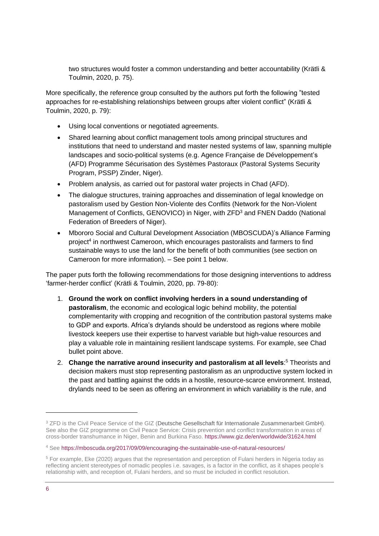two structures would foster a common understanding and better accountability (Krätli & Toulmin, 2020, p. 75).

More specifically, the reference group consulted by the authors put forth the following "tested approaches for re-establishing relationships between groups after violent conflict" (Krätli & Toulmin, 2020, p. 79):

- Using local conventions or negotiated agreements.
- Shared learning about conflict management tools among principal structures and institutions that need to understand and master nested systems of law, spanning multiple landscapes and socio-political systems (e.g. Agence Française de Développement's (AFD) Programme Sécurisation des Systèmes Pastoraux (Pastoral Systems Security Program, PSSP) Zinder, Niger).
- Problem analysis, as carried out for pastoral water projects in Chad (AFD).
- The dialogue structures, training approaches and dissemination of legal knowledge on pastoralism used by Gestion Non-Violente des Conflits (Network for the Non-Violent Management of Conflicts, GENOVICO) in Niger, with ZFD<sup>3</sup> and FNEN Daddo (National Federation of Breeders of Niger).
- Mbororo Social and Cultural Development Association (MBOSCUDA)'s Alliance Farming project<sup>4</sup> in northwest Cameroon, which encourages pastoralists and farmers to find sustainable ways to use the land for the benefit of both communities (see section on Cameroon for more information). – See point 1 below.

The paper puts forth the following recommendations for those designing interventions to address 'farmer-herder conflict' (Krätli & Toulmin, 2020, pp. 79-80):

- 1. **Ground the work on conflict involving herders in a sound understanding of pastoralism**, the economic and ecological logic behind mobility, the potential complementarity with cropping and recognition of the contribution pastoral systems make to GDP and exports. Africa's drylands should be understood as regions where mobile livestock keepers use their expertise to harvest variable but high-value resources and play a valuable role in maintaining resilient landscape systems. For example, see Chad bullet point above.
- 2. **Change the narrative around insecurity and pastoralism at all levels**: <sup>5</sup> Theorists and decision makers must stop representing pastoralism as an unproductive system locked in the past and battling against the odds in a hostile, resource-scarce environment. Instead, drylands need to be seen as offering an environment in which variability is the rule, and

<sup>&</sup>lt;sup>3</sup> ZFD is the Civil Peace Service of the GIZ (Deutsche Gesellschaft für Internationale Zusammenarbeit GmbH). See also the GIZ programme on Civil Peace Service: Crisis prevention and conflict transformation in areas of cross-border transhumance in Niger, Benin and Burkina Faso.<https://www.giz.de/en/worldwide/31624.html>

<sup>4</sup> See<https://mboscuda.org/2017/09/09/encouraging-the-sustainable-use-of-natural-resources/>

<sup>5</sup> For example, Eke (2020) argues that the representation and perception of Fulani herders in Nigeria today as reflecting ancient stereotypes of nomadic peoples i.e. savages, is a factor in the conflict, as it shapes people's relationship with, and reception of, Fulani herders, and so must be included in conflict resolution.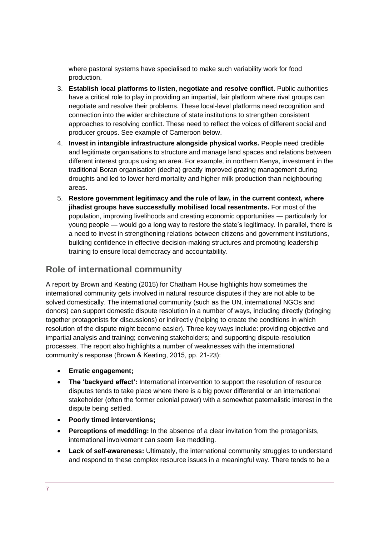where pastoral systems have specialised to make such variability work for food production.

- 3. **Establish local platforms to listen, negotiate and resolve conflict.** Public authorities have a critical role to play in providing an impartial, fair platform where rival groups can negotiate and resolve their problems. These local-level platforms need recognition and connection into the wider architecture of state institutions to strengthen consistent approaches to resolving conflict. These need to reflect the voices of different social and producer groups. See example of Cameroon below.
- 4. **Invest in intangible infrastructure alongside physical works.** People need credible and legitimate organisations to structure and manage land spaces and relations between different interest groups using an area. For example, in northern Kenya, investment in the traditional Boran organisation (dedha) greatly improved grazing management during droughts and led to lower herd mortality and higher milk production than neighbouring areas.
- 5. **Restore government legitimacy and the rule of law, in the current context, where jihadist groups have successfully mobilised local resentments.** For most of the population, improving livelihoods and creating economic opportunities — particularly for young people — would go a long way to restore the state's legitimacy. In parallel, there is a need to invest in strengthening relations between citizens and government institutions, building confidence in effective decision-making structures and promoting leadership training to ensure local democracy and accountability.

### **Role of international community**

A report by Brown and Keating (2015) for Chatham House highlights how sometimes the international community gets involved in natural resource disputes if they are not able to be solved domestically. The international community (such as the UN, international NGOs and donors) can support domestic dispute resolution in a number of ways, including directly (bringing together protagonists for discussions) or indirectly (helping to create the conditions in which resolution of the dispute might become easier). Three key ways include: providing objective and impartial analysis and training; convening stakeholders; and supporting dispute-resolution processes. The report also highlights a number of weaknesses with the international community's response (Brown & Keating, 2015, pp. 21-23):

- **Erratic engagement;**
- **The 'backyard effect':** International intervention to support the resolution of resource disputes tends to take place where there is a big power differential or an international stakeholder (often the former colonial power) with a somewhat paternalistic interest in the dispute being settled.
- **Poorly timed interventions;**
- **Perceptions of meddling:** In the absence of a clear invitation from the protagonists, international involvement can seem like meddling.
- **Lack of self-awareness:** Ultimately, the international community struggles to understand and respond to these complex resource issues in a meaningful way. There tends to be a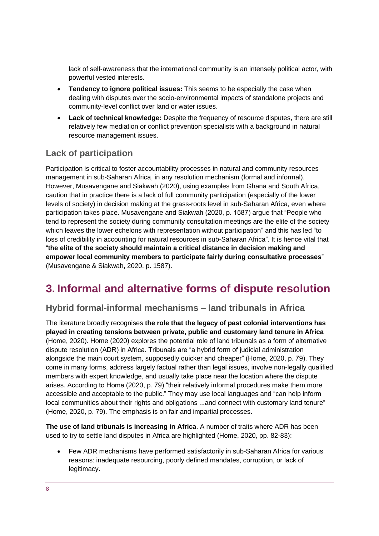lack of self-awareness that the international community is an intensely political actor, with powerful vested interests.

- **Tendency to ignore political issues:** This seems to be especially the case when dealing with disputes over the socio-environmental impacts of standalone projects and community-level conflict over land or water issues.
- **Lack of technical knowledge:** Despite the frequency of resource disputes, there are still relatively few mediation or conflict prevention specialists with a background in natural resource management issues.

# **Lack of participation**

Participation is critical to foster accountability processes in natural and community resources management in sub-Saharan Africa, in any resolution mechanism (formal and informal). However, Musavengane and Siakwah (2020), using examples from Ghana and South Africa, caution that in practice there is a lack of full community participation (especially of the lower levels of society) in decision making at the grass-roots level in sub-Saharan Africa, even where participation takes place. Musavengane and Siakwah (2020, p. 1587) argue that "People who tend to represent the society during community consultation meetings are the elite of the society which leaves the lower echelons with representation without participation" and this has led "to loss of credibility in accounting for natural resources in sub-Saharan Africa". It is hence vital that "**the elite of the society should maintain a critical distance in decision making and empower local community members to participate fairly during consultative processes**" (Musavengane & Siakwah, 2020, p. 1587).

# <span id="page-7-0"></span>**3. Informal and alternative forms of dispute resolution**

### **Hybrid formal-informal mechanisms – land tribunals in Africa**

The literature broadly recognises **the role that the legacy of past colonial interventions has played in creating tensions between private, public and customary land tenure in Africa** (Home, 2020). Home (2020) explores the potential role of land tribunals as a form of alternative dispute resolution (ADR) in Africa. Tribunals are "a hybrid form of judicial administration alongside the main court system, supposedly quicker and cheaper" (Home, 2020, p. 79). They come in many forms, address largely factual rather than legal issues, involve non-legally qualified members with expert knowledge, and usually take place near the location where the dispute arises. According to Home (2020, p. 79) "their relatively informal procedures make them more accessible and acceptable to the public." They may use local languages and "can help inform local communities about their rights and obligations ...and connect with customary land tenure" (Home, 2020, p. 79). The emphasis is on fair and impartial processes.

**The use of land tribunals is increasing in Africa**. A number of traits where ADR has been used to try to settle land disputes in Africa are highlighted (Home, 2020, pp. 82-83):

• Few ADR mechanisms have performed satisfactorily in sub-Saharan Africa for various reasons: inadequate resourcing, poorly defined mandates, corruption, or lack of legitimacy.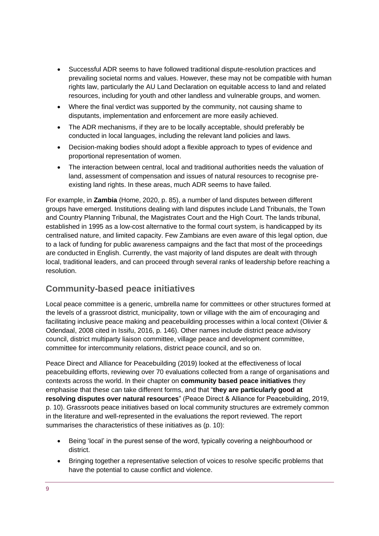- Successful ADR seems to have followed traditional dispute-resolution practices and prevailing societal norms and values. However, these may not be compatible with human rights law, particularly the AU Land Declaration on equitable access to land and related resources, including for youth and other landless and vulnerable groups, and women.
- Where the final verdict was supported by the community, not causing shame to disputants, implementation and enforcement are more easily achieved.
- The ADR mechanisms, if they are to be locally acceptable, should preferably be conducted in local languages, including the relevant land policies and laws.
- Decision-making bodies should adopt a flexible approach to types of evidence and proportional representation of women.
- The interaction between central, local and traditional authorities needs the valuation of land, assessment of compensation and issues of natural resources to recognise preexisting land rights. In these areas, much ADR seems to have failed.

For example, in **Zambia** (Home, 2020, p. 85), a number of land disputes between different groups have emerged. Institutions dealing with land disputes include Land Tribunals, the Town and Country Planning Tribunal, the Magistrates Court and the High Court. The lands tribunal, established in 1995 as a low-cost alternative to the formal court system, is handicapped by its centralised nature, and limited capacity. Few Zambians are even aware of this legal option, due to a lack of funding for public awareness campaigns and the fact that most of the proceedings are conducted in English. Currently, the vast majority of land disputes are dealt with through local, traditional leaders, and can proceed through several ranks of leadership before reaching a resolution.

# **Community-based peace initiatives**

Local peace committee is a generic, umbrella name for committees or other structures formed at the levels of a grassroot district, municipality, town or village with the aim of encouraging and facilitating inclusive peace making and peacebuilding processes within a local context (Olivier & Odendaal, 2008 cited in Issifu, 2016, p. 146). Other names include district peace advisory council, district multiparty liaison committee, village peace and development committee, committee for intercommunity relations, district peace council, and so on.

Peace Direct and Alliance for Peacebuilding (2019) looked at the effectiveness of local peacebuilding efforts, reviewing over 70 evaluations collected from a range of organisations and contexts across the world. In their chapter on **community based peace initiatives** they emphasise that these can take different forms, and that "**they are particularly good at resolving disputes over natural resources**" (Peace Direct & Alliance for Peacebuilding, 2019, p. 10). Grassroots peace initiatives based on local community structures are extremely common in the literature and well-represented in the evaluations the report reviewed. The report summarises the characteristics of these initiatives as (p. 10):

- Being 'local' in the purest sense of the word, typically covering a neighbourhood or district.
- Bringing together a representative selection of voices to resolve specific problems that have the potential to cause conflict and violence.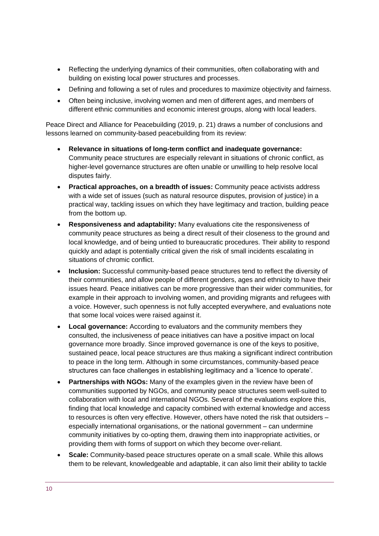- Reflecting the underlying dynamics of their communities, often collaborating with and building on existing local power structures and processes.
- Defining and following a set of rules and procedures to maximize objectivity and fairness.
- Often being inclusive, involving women and men of different ages, and members of different ethnic communities and economic interest groups, along with local leaders.

Peace Direct and Alliance for Peacebuilding (2019, p. 21) draws a number of conclusions and lessons learned on community-based peacebuilding from its review:

- **Relevance in situations of long-term conflict and inadequate governance:** Community peace structures are especially relevant in situations of chronic conflict, as higher-level governance structures are often unable or unwilling to help resolve local disputes fairly.
- **Practical approaches, on a breadth of issues:** Community peace activists address with a wide set of issues (such as natural resource disputes, provision of justice) in a practical way, tackling issues on which they have legitimacy and traction, building peace from the bottom up.
- **Responsiveness and adaptability:** Many evaluations cite the responsiveness of community peace structures as being a direct result of their closeness to the ground and local knowledge, and of being untied to bureaucratic procedures. Their ability to respond quickly and adapt is potentially critical given the risk of small incidents escalating in situations of chromic conflict.
- **Inclusion:** Successful community-based peace structures tend to reflect the diversity of their communities, and allow people of different genders, ages and ethnicity to have their issues heard. Peace initiatives can be more progressive than their wider communities, for example in their approach to involving women, and providing migrants and refugees with a voice. However, such openness is not fully accepted everywhere, and evaluations note that some local voices were raised against it.
- **Local governance:** According to evaluators and the community members they consulted, the inclusiveness of peace initiatives can have a positive impact on local governance more broadly. Since improved governance is one of the keys to positive, sustained peace, local peace structures are thus making a significant indirect contribution to peace in the long term. Although in some circumstances, community-based peace structures can face challenges in establishing legitimacy and a 'licence to operate'.
- **Partnerships with NGOs:** Many of the examples given in the review have been of communities supported by NGOs, and community peace structures seem well-suited to collaboration with local and international NGOs. Several of the evaluations explore this, finding that local knowledge and capacity combined with external knowledge and access to resources is often very effective. However, others have noted the risk that outsiders – especially international organisations, or the national government – can undermine community initiatives by co-opting them, drawing them into inappropriate activities, or providing them with forms of support on which they become over-reliant.
- **Scale:** Community-based peace structures operate on a small scale. While this allows them to be relevant, knowledgeable and adaptable, it can also limit their ability to tackle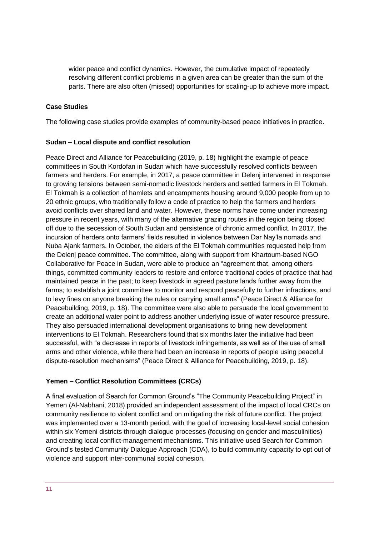wider peace and conflict dynamics. However, the cumulative impact of repeatedly resolving different conflict problems in a given area can be greater than the sum of the parts. There are also often (missed) opportunities for scaling-up to achieve more impact.

#### **Case Studies**

The following case studies provide examples of community-based peace initiatives in practice.

#### **Sudan – Local dispute and conflict resolution**

Peace Direct and Alliance for Peacebuilding (2019, p. 18) highlight the example of peace committees in South Kordofan in Sudan which have successfully resolved conflicts between farmers and herders. For example, in 2017, a peace committee in Delenj intervened in response to growing tensions between semi-nomadic livestock herders and settled farmers in El Tokmah. El Tokmah is a collection of hamlets and encampments housing around 9,000 people from up to 20 ethnic groups, who traditionally follow a code of practice to help the farmers and herders avoid conflicts over shared land and water. However, these norms have come under increasing pressure in recent years, with many of the alternative grazing routes in the region being closed off due to the secession of South Sudan and persistence of chronic armed conflict. In 2017, the incursion of herders onto farmers' fields resulted in violence between Dar Nay'la nomads and Nuba Ajank farmers. In October, the elders of the El Tokmah communities requested help from the Delenj peace committee. The committee, along with support from Khartoum-based NGO Collaborative for Peace in Sudan, were able to produce an "agreement that, among others things, committed community leaders to restore and enforce traditional codes of practice that had maintained peace in the past; to keep livestock in agreed pasture lands further away from the farms; to establish a joint committee to monitor and respond peacefully to further infractions, and to levy fines on anyone breaking the rules or carrying small arms" (Peace Direct & Alliance for Peacebuilding, 2019, p. 18). The committee were also able to persuade the local government to create an additional water point to address another underlying issue of water resource pressure. They also persuaded international development organisations to bring new development interventions to El Tokmah. Researchers found that six months later the initiative had been successful, with "a decrease in reports of livestock infringements, as well as of the use of small arms and other violence, while there had been an increase in reports of people using peaceful dispute-resolution mechanisms" (Peace Direct & Alliance for Peacebuilding, 2019, p. 18).

#### **Yemen – Conflict Resolution Committees (CRCs)**

A final evaluation of Search for Common Ground's "The Community Peacebuilding Project" in Yemen (Al-Nabhani, 2018) provided an independent assessment of the impact of local CRCs on community resilience to violent conflict and on mitigating the risk of future conflict. The project was implemented over a 13-month period, with the goal of increasing local-level social cohesion within six Yemeni districts through dialogue processes (focusing on gender and masculinities) and creating local conflict-management mechanisms. This initiative used Search for Common Ground's tested Community Dialogue Approach (CDA), to build community capacity to opt out of violence and support inter-communal social cohesion.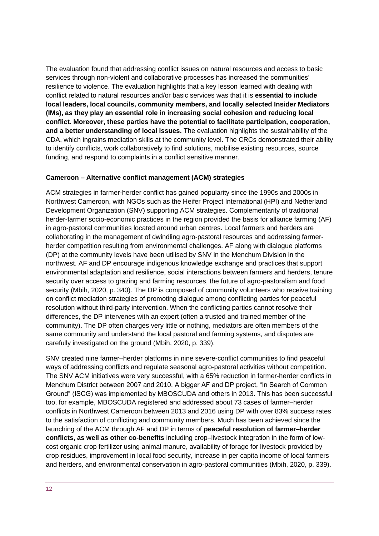The evaluation found that addressing conflict issues on natural resources and access to basic services through non-violent and collaborative processes has increased the communities' resilience to violence. The evaluation highlights that a key lesson learned with dealing with conflict related to natural resources and/or basic services was that it is **essential to include local leaders, local councils, community members, and locally selected Insider Mediators (IMs), as they play an essential role in increasing social cohesion and reducing local conflict. Moreover, these parties have the potential to facilitate participation, cooperation, and a better understanding of local issues.** The evaluation highlights the sustainability of the CDA, which ingrains mediation skills at the community level. The CRCs demonstrated their ability to identify conflicts, work collaboratively to find solutions, mobilise existing resources, source funding, and respond to complaints in a conflict sensitive manner.

#### **Cameroon – Alternative conflict management (ACM) strategies**

ACM strategies in farmer-herder conflict has gained popularity since the 1990s and 2000s in Northwest Cameroon, with NGOs such as the Heifer Project International (HPI) and Netherland Development Organization (SNV) supporting ACM strategies. Complementarity of traditional herder-farmer socio-economic practices in the region provided the basis for alliance farming (AF) in agro-pastoral communities located around urban centres. Local farmers and herders are collaborating in the management of dwindling agro-pastoral resources and addressing farmerherder competition resulting from environmental challenges. AF along with dialogue platforms (DP) at the community levels have been utilised by SNV in the Menchum Division in the northwest. AF and DP encourage indigenous knowledge exchange and practices that support environmental adaptation and resilience, social interactions between farmers and herders, tenure security over access to grazing and farming resources, the future of agro-pastoralism and food security (Mbih, 2020, p. 340). The DP is composed of community volunteers who receive training on conflict mediation strategies of promoting dialogue among conflicting parties for peaceful resolution without third-party intervention. When the conflicting parties cannot resolve their differences, the DP intervenes with an expert (often a trusted and trained member of the community). The DP often charges very little or nothing, mediators are often members of the same community and understand the local pastoral and farming systems, and disputes are carefully investigated on the ground (Mbih, 2020, p. 339).

SNV created nine farmer–herder platforms in nine severe-conflict communities to find peaceful ways of addressing conflicts and regulate seasonal agro-pastoral activities without competition. The SNV ACM initiatives were very successful, with a 65% reduction in farmer-herder conflicts in Menchum District between 2007 and 2010. A bigger AF and DP project, "In Search of Common Ground" (ISCG) was implemented by MBOSCUDA and others in 2013. This has been successful too, for example, MBOSCUDA registered and addressed about 73 cases of farmer–herder conflicts in Northwest Cameroon between 2013 and 2016 using DP with over 83% success rates to the satisfaction of conflicting and community members. Much has been achieved since the launching of the ACM through AF and DP in terms of **peaceful resolution of farmer–herder conflicts, as well as other co-benefits** including crop–livestock integration in the form of lowcost organic crop fertilizer using animal manure, availability of forage for livestock provided by crop residues, improvement in local food security, increase in per capita income of local farmers and herders, and environmental conservation in agro-pastoral communities (Mbih, 2020, p. 339).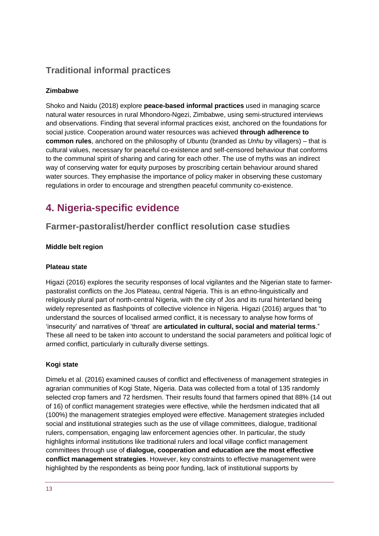# **Traditional informal practices**

#### **Zimbabwe**

Shoko and Naidu (2018) explore **peace-based informal practices** used in managing scarce natural water resources in rural Mhondoro-Ngezi, Zimbabwe, using semi-structured interviews and observations. Finding that several informal practices exist, anchored on the foundations for social justice. Cooperation around water resources was achieved **through adherence to common rules**, anchored on the philosophy of *Ubuntu* (branded as *Unhu* by villagers) – that is cultural values, necessary for peaceful co-existence and self-censored behaviour that conforms to the communal spirit of sharing and caring for each other. The use of myths was an indirect way of conserving water for equity purposes by proscribing certain behaviour around shared water sources. They emphasise the importance of policy maker in observing these customary regulations in order to encourage and strengthen peaceful community co-existence.

# <span id="page-12-0"></span>**4. Nigeria-specific evidence**

# **Farmer-pastoralist/herder conflict resolution case studies**

#### **Middle belt region**

#### **Plateau state**

Higazi (2016) explores the security responses of local vigilantes and the Nigerian state to farmerpastoralist conflicts on the Jos Plateau, central Nigeria. This is an ethno-linguistically and religiously plural part of north-central Nigeria, with the city of Jos and its rural hinterland being widely represented as flashpoints of collective violence in Nigeria. Higazi (2016) argues that "to understand the sources of localised armed conflict, it is necessary to analyse how forms of 'insecurity' and narratives of 'threat' are **articulated in cultural, social and material terms**." These all need to be taken into account to understand the social parameters and political logic of armed conflict, particularly in culturally diverse settings.

#### **Kogi state**

Dimelu et al. (2016) examined causes of conflict and effectiveness of management strategies in agrarian communities of Kogi State, Nigeria. Data was collected from a total of 135 randomly selected crop famers and 72 herdsmen. Their results found that farmers opined that 88% (14 out of 16) of conflict management strategies were effective, while the herdsmen indicated that all (100%) the management strategies employed were effective. Management strategies included social and institutional strategies such as the use of village committees, dialogue, traditional rulers, compensation, engaging law enforcement agencies other. In particular, the study highlights informal institutions like traditional rulers and local village conflict management committees through use of **dialogue, cooperation and education are the most effective conflict management strategies**. However, key constraints to effective management were highlighted by the respondents as being poor funding, lack of institutional supports by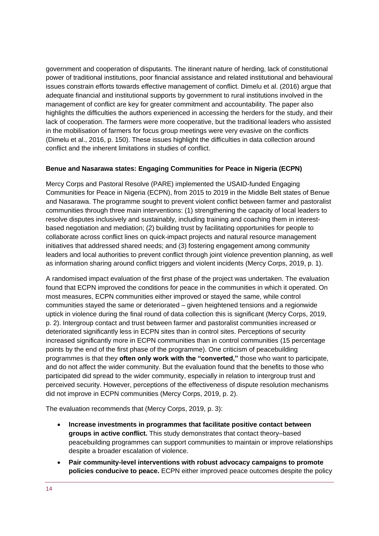government and cooperation of disputants. The itinerant nature of herding, lack of constitutional power of traditional institutions, poor financial assistance and related institutional and behavioural issues constrain efforts towards effective management of conflict. Dimelu et al. (2016) argue that adequate financial and institutional supports by government to rural institutions involved in the management of conflict are key for greater commitment and accountability. The paper also highlights the difficulties the authors experienced in accessing the herders for the study, and their lack of cooperation. The farmers were more cooperative, but the traditional leaders who assisted in the mobilisation of farmers for focus group meetings were very evasive on the conflicts (Dimelu et al., 2016, p. 150). These issues highlight the difficulties in data collection around conflict and the inherent limitations in studies of conflict.

#### **Benue and Nasarawa states: Engaging Communities for Peace in Nigeria (ECPN)**

Mercy Corps and Pastoral Resolve (PARE) implemented the USAID-funded Engaging Communities for Peace in Nigeria (ECPN), from 2015 to 2019 in the Middle Belt states of Benue and Nasarawa. The programme sought to prevent violent conflict between farmer and pastoralist communities through three main interventions: (1) strengthening the capacity of local leaders to resolve disputes inclusively and sustainably, including training and coaching them in interestbased negotiation and mediation; (2) building trust by facilitating opportunities for people to collaborate across conflict lines on quick-impact projects and natural resource management initiatives that addressed shared needs; and (3) fostering engagement among community leaders and local authorities to prevent conflict through joint violence prevention planning, as well as information sharing around conflict triggers and violent incidents (Mercy Corps, 2019, p. 1).

A randomised impact evaluation of the first phase of the project was undertaken. The evaluation found that ECPN improved the conditions for peace in the communities in which it operated. On most measures, ECPN communities either improved or stayed the same, while control communities stayed the same or deteriorated – given heightened tensions and a regionwide uptick in violence during the final round of data collection this is significant (Mercy Corps, 2019, p. 2). Intergroup contact and trust between farmer and pastoralist communities increased or deteriorated significantly less in ECPN sites than in control sites. Perceptions of security increased significantly more in ECPN communities than in control communities (15 percentage points by the end of the first phase of the programme). One criticism of peacebuilding programmes is that they **often only work with the "converted,"** those who want to participate, and do not affect the wider community. But the evaluation found that the benefits to those who participated did spread to the wider community, especially in relation to intergroup trust and perceived security. However, perceptions of the effectiveness of dispute resolution mechanisms did not improve in ECPN communities (Mercy Corps, 2019, p. 2).

The evaluation recommends that (Mercy Corps, 2019, p. 3):

- **Increase investments in programmes that facilitate positive contact between groups in active conflict.** This study demonstrates that contact theory–based peacebuilding programmes can support communities to maintain or improve relationships despite a broader escalation of violence.
- **Pair community-level interventions with robust advocacy campaigns to promote policies conducive to peace.** ECPN either improved peace outcomes despite the policy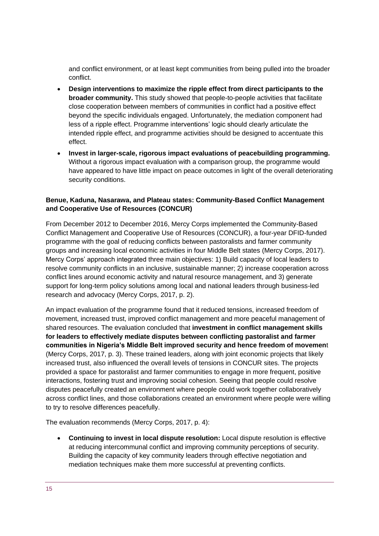and conflict environment, or at least kept communities from being pulled into the broader conflict.

- **Design interventions to maximize the ripple effect from direct participants to the broader community.** This study showed that people-to-people activities that facilitate close cooperation between members of communities in conflict had a positive effect beyond the specific individuals engaged. Unfortunately, the mediation component had less of a ripple effect. Programme interventions' logic should clearly articulate the intended ripple effect, and programme activities should be designed to accentuate this effect.
- **Invest in larger-scale, rigorous impact evaluations of peacebuilding programming.**  Without a rigorous impact evaluation with a comparison group, the programme would have appeared to have little impact on peace outcomes in light of the overall deteriorating security conditions.

#### **Benue, Kaduna, Nasarawa, and Plateau states: Community-Based Conflict Management and Cooperative Use of Resources (CONCUR)**

From December 2012 to December 2016, Mercy Corps implemented the Community-Based Conflict Management and Cooperative Use of Resources (CONCUR), a four-year DFID-funded programme with the goal of reducing conflicts between pastoralists and farmer community groups and increasing local economic activities in four Middle Belt states (Mercy Corps, 2017). Mercy Corps' approach integrated three main objectives: 1) Build capacity of local leaders to resolve community conflicts in an inclusive, sustainable manner; 2) increase cooperation across conflict lines around economic activity and natural resource management, and 3) generate support for long-term policy solutions among local and national leaders through business-led research and advocacy (Mercy Corps, 2017, p. 2).

An impact evaluation of the programme found that it reduced tensions, increased freedom of movement, increased trust, improved conflict management and more peaceful management of shared resources. The evaluation concluded that **investment in conflict management skills for leaders to effectively mediate disputes between conflicting pastoralist and farmer communities in Nigeria's Middle Belt improved security and hence freedom of movemen**t (Mercy Corps, 2017, p. 3). These trained leaders, along with joint economic projects that likely increased trust, also influenced the overall levels of tensions in CONCUR sites. The projects provided a space for pastoralist and farmer communities to engage in more frequent, positive interactions, fostering trust and improving social cohesion. Seeing that people could resolve disputes peacefully created an environment where people could work together collaboratively across conflict lines, and those collaborations created an environment where people were willing to try to resolve differences peacefully.

The evaluation recommends (Mercy Corps, 2017, p. 4):

• **Continuing to invest in local dispute resolution:** Local dispute resolution is effective at reducing intercommunal conflict and improving community perceptions of security. Building the capacity of key community leaders through effective negotiation and mediation techniques make them more successful at preventing conflicts.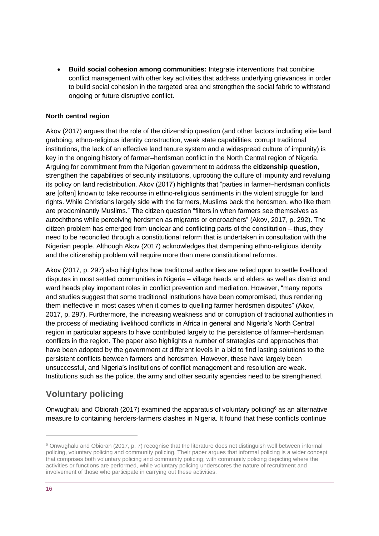• **Build social cohesion among communities:** Integrate interventions that combine conflict management with other key activities that address underlying grievances in order to build social cohesion in the targeted area and strengthen the social fabric to withstand ongoing or future disruptive conflict.

#### **North central region**

Akov (2017) argues that the role of the citizenship question (and other factors including elite land grabbing, ethno-religious identity construction, weak state capabilities, corrupt traditional institutions, the lack of an effective land tenure system and a widespread culture of impunity) is key in the ongoing history of farmer–herdsman conflict in the North Central region of Nigeria. Arguing for commitment from the Nigerian government to address the **citizenship question**, strengthen the capabilities of security institutions, uprooting the culture of impunity and revaluing its policy on land redistribution. Akov (2017) highlights that "parties in farmer–herdsman conflicts are [often] known to take recourse in ethno-religious sentiments in the violent struggle for land rights. While Christians largely side with the farmers, Muslims back the herdsmen, who like them are predominantly Muslims." The citizen question "filters in when farmers see themselves as autochthons while perceiving herdsmen as migrants or encroachers" (Akov, 2017, p. 292). The citizen problem has emerged from unclear and conflicting parts of the constitution – thus, they need to be reconciled through a constitutional reform that is undertaken in consultation with the Nigerian people. Although Akov (2017) acknowledges that dampening ethno-religious identity and the citizenship problem will require more than mere constitutional reforms.

Akov (2017, p. 297) also highlights how traditional authorities are relied upon to settle livelihood disputes in most settled communities in Nigeria – village heads and elders as well as district and ward heads play important roles in conflict prevention and mediation. However, "many reports and studies suggest that some traditional institutions have been compromised, thus rendering them ineffective in most cases when it comes to quelling farmer herdsmen disputes" (Akov, 2017, p. 297). Furthermore, the increasing weakness and or corruption of traditional authorities in the process of mediating livelihood conflicts in Africa in general and Nigeria's North Central region in particular appears to have contributed largely to the persistence of farmer–herdsman conflicts in the region. The paper also highlights a number of strategies and approaches that have been adopted by the government at different levels in a bid to find lasting solutions to the persistent conflicts between farmers and herdsmen. However, these have largely been unsuccessful, and Nigeria's institutions of conflict management and resolution are weak. Institutions such as the police, the army and other security agencies need to be strengthened.

# **Voluntary policing**

Onwughalu and Obiorah (2017) examined the apparatus of voluntary policing<sup>6</sup> as an alternative measure to containing herders-farmers clashes in Nigeria. It found that these conflicts continue

<sup>6</sup> Onwughalu and Obiorah (2017, p. 7) recognise that the literature does not distinguish well between informal policing, voluntary policing and community policing. Their paper argues that informal policing is a wider concept that comprises both voluntary policing and community policing; with community policing depicting where the activities or functions are performed, while voluntary policing underscores the nature of recruitment and involvement of those who participate in carrying out these activities.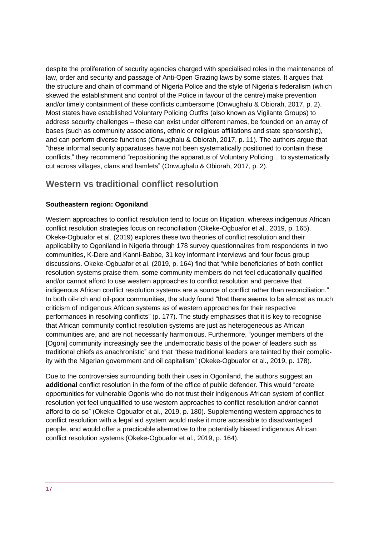despite the proliferation of security agencies charged with specialised roles in the maintenance of law, order and security and passage of Anti-Open Grazing laws by some states. It argues that the structure and chain of command of Nigeria Police and the style of Nigeria's federalism (which skewed the establishment and control of the Police in favour of the centre) make prevention and/or timely containment of these conflicts cumbersome (Onwughalu & Obiorah, 2017, p. 2). Most states have established Voluntary Policing Outfits (also known as Vigilante Groups) to address security challenges – these can exist under different names, be founded on an array of bases (such as community associations, ethnic or religious affiliations and state sponsorship), and can perform diverse functions (Onwughalu & Obiorah, 2017, p. 11). The authors argue that "these informal security apparatuses have not been systematically positioned to contain these conflicts," they recommend "repositioning the apparatus of Voluntary Policing... to systematically cut across villages, clans and hamlets" (Onwughalu & Obiorah, 2017, p. 2).

# **Western vs traditional conflict resolution**

#### **Southeastern region: Ogoniland**

Western approaches to conflict resolution tend to focus on litigation, whereas indigenous African conflict resolution strategies focus on reconciliation (Okeke-Ogbuafor et al., 2019, p. 165). Okeke-Ogbuafor et al. (2019) explores these two theories of conflict resolution and their applicability to Ogoniland in Nigeria through 178 survey questionnaires from respondents in two communities, K-Dere and Kanni-Babbe, 31 key informant interviews and four focus group discussions. Okeke-Ogbuafor et al. (2019, p. 164) find that "while beneficiaries of both conflict resolution systems praise them, some community members do not feel educationally qualified and/or cannot afford to use western approaches to conflict resolution and perceive that indigenous African conflict resolution systems are a source of conflict rather than reconciliation." In both oil-rich and oil-poor communities, the study found "that there seems to be almost as much criticism of indigenous African systems as of western approaches for their respective performances in resolving conflicts" (p. 177). The study emphasises that it is key to recognise that African community conflict resolution systems are just as heterogeneous as African communities are, and are not necessarily harmonious. Furthermore, "younger members of the [Ogoni] community increasingly see the undemocratic basis of the power of leaders such as traditional chiefs as anachronistic" and that "these traditional leaders are tainted by their complicity with the Nigerian government and oil capitalism" (Okeke-Ogbuafor et al., 2019, p. 178).

Due to the controversies surrounding both their uses in Ogoniland, the authors suggest an **additional** conflict resolution in the form of the office of public defender. This would "create opportunities for vulnerable Ogonis who do not trust their indigenous African system of conflict resolution yet feel unqualified to use western approaches to conflict resolution and/or cannot afford to do so" (Okeke-Ogbuafor et al., 2019, p. 180). Supplementing western approaches to conflict resolution with a legal aid system would make it more accessible to disadvantaged people, and would offer a practicable alternative to the potentially biased indigenous African conflict resolution systems (Okeke-Ogbuafor et al., 2019, p. 164).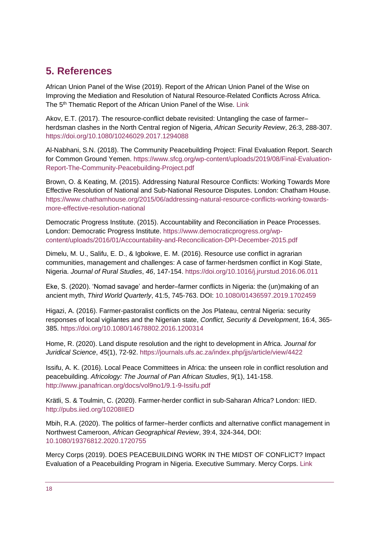# <span id="page-17-0"></span>**5. References**

African Union Panel of the Wise (2019). Report of the African Union Panel of the Wise on Improving the Mediation and Resolution of Natural Resource-Related Conflicts Across Africa. The 5<sup>th</sup> Thematic Report of the African Union Panel of the Wise. [Link](https://wedocs.unep.org/bitstream/handle/20.500.11822/31043/AUP.pdf?sequence=1)

Akov, E.T. (2017). The resource-conflict debate revisited: Untangling the case of farmer– herdsman clashes in the North Central region of Nigeria, *African Security Review*, 26:3, 288-307. <https://doi.org/10.1080/10246029.2017.1294088>

Al-Nabhani, S.N. (2018). The Community Peacebuilding Project: Final Evaluation Report. Search for Common Ground Yemen. [https://www.sfcg.org/wp-content/uploads/2019/08/Final-Evaluation-](https://www.sfcg.org/wp-content/uploads/2019/08/Final-Evaluation-Report-The-Community-Peacebuilding-Project.pdf)[Report-The-Community-Peacebuilding-Project.pdf](https://www.sfcg.org/wp-content/uploads/2019/08/Final-Evaluation-Report-The-Community-Peacebuilding-Project.pdf)

Brown, O. & Keating, M. (2015). Addressing Natural Resource Conflicts: Working Towards More Effective Resolution of National and Sub-National Resource Disputes. London: Chatham House. [https://www.chathamhouse.org/2015/06/addressing-natural-resource-conflicts-working-towards](https://www.chathamhouse.org/2015/06/addressing-natural-resource-conflicts-working-towards-more-effective-resolution-national)[more-effective-resolution-national](https://www.chathamhouse.org/2015/06/addressing-natural-resource-conflicts-working-towards-more-effective-resolution-national)

Democratic Progress Institute. (2015). Accountability and Reconciliation in Peace Processes. London: Democratic Progress Institute. [https://www.democraticprogress.org/wp](https://www.democraticprogress.org/wp-content/uploads/2016/01/Accountability-and-Reconcilication-DPI-December-2015.pdf)[content/uploads/2016/01/Accountability-and-Reconcilication-DPI-December-2015.pdf](https://www.democraticprogress.org/wp-content/uploads/2016/01/Accountability-and-Reconcilication-DPI-December-2015.pdf)

Dimelu, M. U., Salifu, E. D., & Igbokwe, E. M. (2016). Resource use conflict in agrarian communities, management and challenges: A case of farmer-herdsmen conflict in Kogi State, Nigeria. *Journal of Rural Studies*, *46*, 147-154. <https://doi.org/10.1016/j.jrurstud.2016.06.011>

Eke, S. (2020). 'Nomad savage' and herder–farmer conflicts in Nigeria: the (un)making of an ancient myth, *Third World Quarterly*, 41:5, 745-763. DOI: [10.1080/01436597.2019.1702459](https://doi.org/10.1080/01436597.2019.1702459)

Higazi, A. (2016). Farmer-pastoralist conflicts on the Jos Plateau, central Nigeria: security responses of local vigilantes and the Nigerian state, *Conflict, Security & Development*, 16:4, 365- 385. <https://doi.org/10.1080/14678802.2016.1200314>

Home, R. (2020). Land dispute resolution and the right to development in Africa. *Journal for Juridical Science*, *45*(1), 72-92.<https://journals.ufs.ac.za/index.php/jjs/article/view/4422>

Issifu, A. K. (2016). Local Peace Committees in Africa: the unseen role in conflict resolution and peacebuilding. *Africology: The Journal of Pan African Studies*, *9*(1), 141-158. <http://www.jpanafrican.org/docs/vol9no1/9.1-9-Issifu.pdf>

Krätli, S. & Toulmin, C. (2020). Farmer-herder conflict in sub-Saharan Africa? London: IIED. <http://pubs.iied.org/10208IIED>

Mbih, R.A. (2020). The politics of farmer–herder conflicts and alternative conflict management in Northwest Cameroon, *African Geographical Review*, 39:4, 324-344, DOI: [10.1080/19376812.2020.1720755](https://doi.org/10.1080/19376812.2020.1720755)

Mercy Corps (2019). DOES PEACEBUILDING WORK IN THE MIDST OF CONFLICT? Impact Evaluation of a Peacebuilding Program in Nigeria. Executive Summary. Mercy Corps. [Link](https://europe.mercycorps.org/sites/default/files/2020-01/PRG_NigeriaImpactEvaluation_ExecSummary_R_lo_r2v1_Web.pdf)